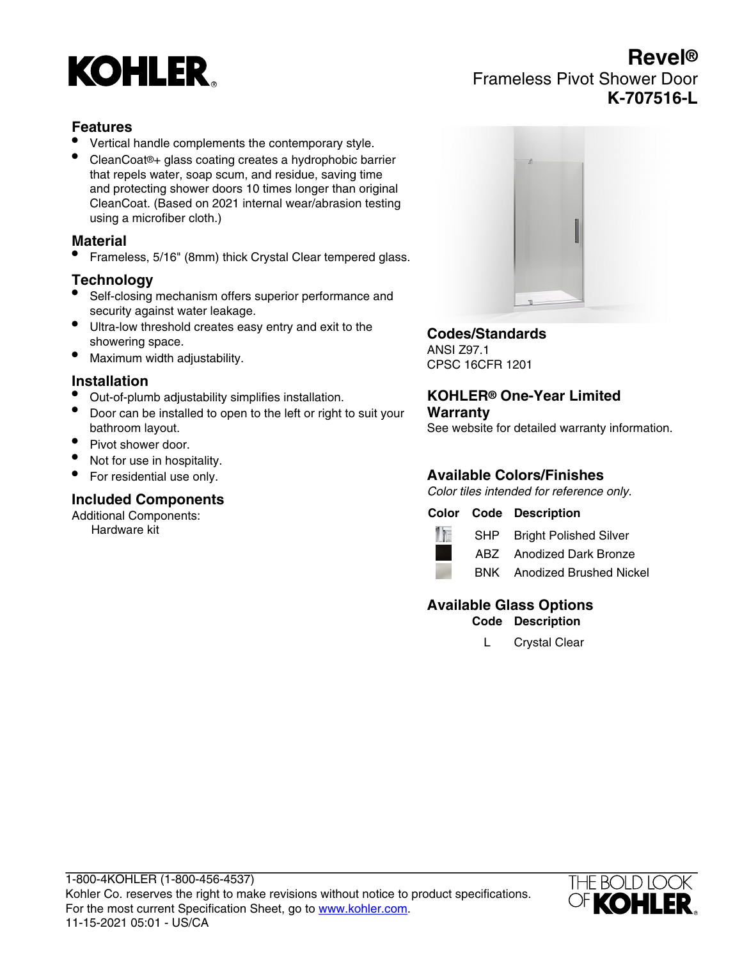# **KOHLER**

# **Revel®** Frameless Pivot Shower Door **K-707516-L**

# **Features**

- Vertical handle complements the contemporary style.
- CleanCoat®+ glass coating creates a hydrophobic barrier that repels water, soap scum, and residue, saving time and protecting shower doors 10 times longer than original CleanCoat. (Based on 2021 internal wear/abrasion testing using a microfiber cloth.)

#### **Material**

• Frameless, 5/16" (8mm) thick Crystal Clear tempered glass.

# **Technology**

- Self-closing mechanism offers superior performance and security against water leakage.
- Ultra-low threshold creates easy entry and exit to the showering space.
- Maximum width adjustability.

#### **Installation**

- Out-of-plumb adjustability simplifies installation.
- Door can be installed to open to the left or right to suit your bathroom layout.
- Pivot shower door.
- Not for use in hospitality.
- For residential use only.

# **Included Components**

Additional Components: Hardware kit



# **Codes/Standards**

ANSI Z97.1 CPSC 16CFR 1201

#### **KOHLER® One-Year Limited Warranty**

See website for detailed warranty information.

# **Available Colors/Finishes**

Color tiles intended for reference only.

#### **Color Code Description**



SHP Bright Polished Silver ABZ Anodized Dark Bronze



BNK Anodized Brushed Nickel

# **Available Glass Options**

**Code Description**

L Crystal Clear